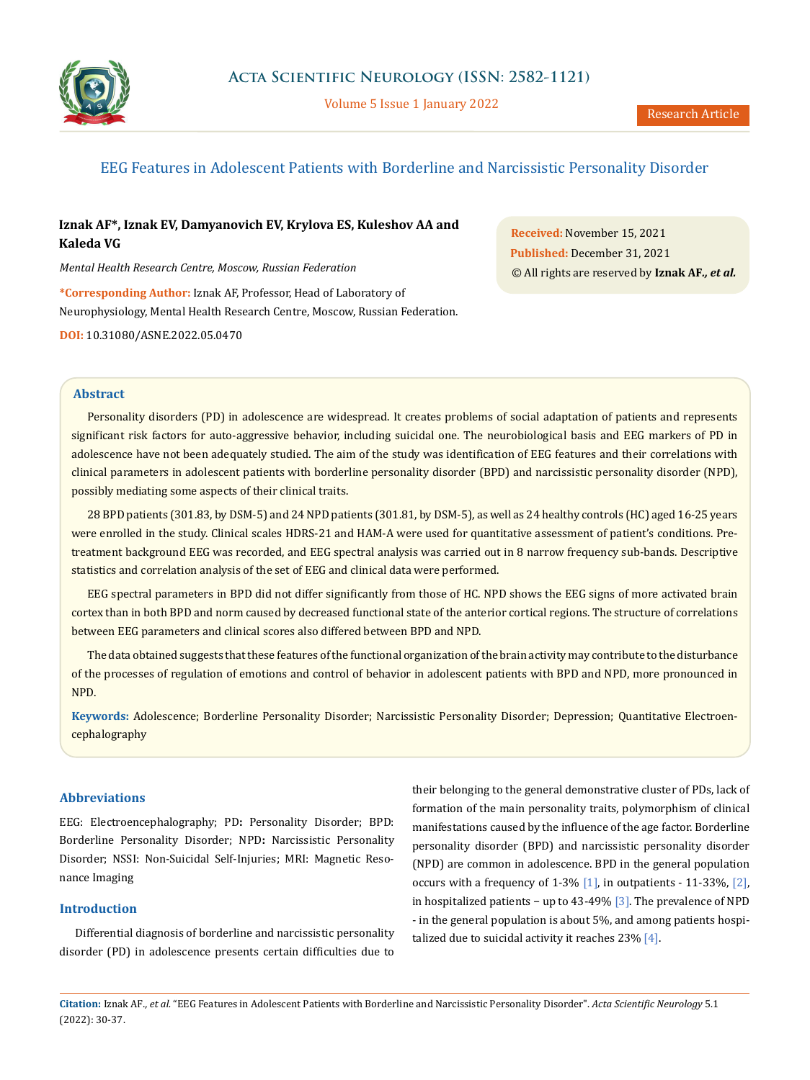

Volume 5 Issue 1 January 2022

# EEG Features in Adolescent Patients with Borderline and Narcissistic Personality Disorder

# **Iznak AF\*, Iznak EV, Damyanovich EV, Krylova ES, Kuleshov AA and Kaleda VG**

*Mental Health Research Centre, Moscow, Russian Federation*

**\*Corresponding Author:** Iznak AF, Professor, Head of Laboratory of Neurophysiology, Mental Health Research Centre, Moscow, Russian Federation.

**DOI:** [10.31080/ASNE.2022.05.0470](https://actascientific.com/ASNE/pdf/ASNE-05-0470.pdf)

**Received:** November 15, 2021 **Published:** December 31, 2021 © All rights are reserved by **Iznak AF***., et al.*

### **Abstract**

Personality disorders (PD) in adolescence are widespread. It creates problems of social adaptation of patients and represents significant risk factors for auto-aggressive behavior, including suicidal one. The neurobiological basis and EEG markers of PD in adolescence have not been adequately studied. The aim of the study was identification of EEG features and their correlations with clinical parameters in adolescent patients with borderline personality disorder (BPD) and narcissistic personality disorder (NPD), possibly mediating some aspects of their clinical traits.

28 BPD patients (301.83, by DSM-5) and 24 NPD patients (301.81, by DSM-5), as well as 24 healthy controls (HC) aged 16-25 years were enrolled in the study. Clinical scales HDRS-21 and HAM-A were used for quantitative assessment of patient's conditions. Pretreatment background EEG was recorded, and EEG spectral analysis was carried out in 8 narrow frequency sub-bands. Descriptive statistics and correlation analysis of the set of EEG and clinical data were performed.

EEG spectral parameters in BPD did not differ significantly from those of HC. NPD shows the EEG signs of more activated brain cortex than in both BPD and norm caused by decreased functional state of the anterior cortical regions. The structure of correlations between EEG parameters and clinical scores also differed between BPD and NPD.

The data obtained suggests that these features of the functional organization of the brain activity may contribute to the disturbance of the processes of regulation of emotions and control of behavior in adolescent patients with BPD and NPD, more pronounced in NPD.

**Keywords:** Adolescence; Borderline Personality Disorder; Narcissistic Personality Disorder; Depression; Quantitative Electroencephalography

## **Abbreviations**

EEG: Electroencephalography; PD**:** Personality Disorder; BPD: Borderline Personality Disorder; NPD**:** Narcissistic Personality Disorder; NSSI: Non-Suicidal Self-Injuries; MRI: Magnetic Resonance Imaging

## **Introduction**

Differential diagnosis of borderline and narcissistic personality disorder (PD) in adolescence presents certain difficulties due to their belonging to the general demonstrative cluster of PDs, lack of formation of the main personality traits, polymorphism of clinical manifestations caused by the influence of the age factor. Borderline personality disorder (BPD) and narcissistic personality disorder (NPD) are common in adolescence. BPD in the general population occurs with a frequency of 1-3%  $[1]$ , in outpatients - 11-33%,  $[2]$ , in hospitalized patients − up to 43-49% [3]. The prevalence of NPD - in the general population is about 5%, and among patients hospitalized due to suicidal activity it reaches  $23\%$  [4].

**Citation:** Iznak AF*., et al.* "EEG Features in Adolescent Patients with Borderline and Narcissistic Personality Disorder". *Acta Scientific Neurology* 5.1 (2022): 30-37.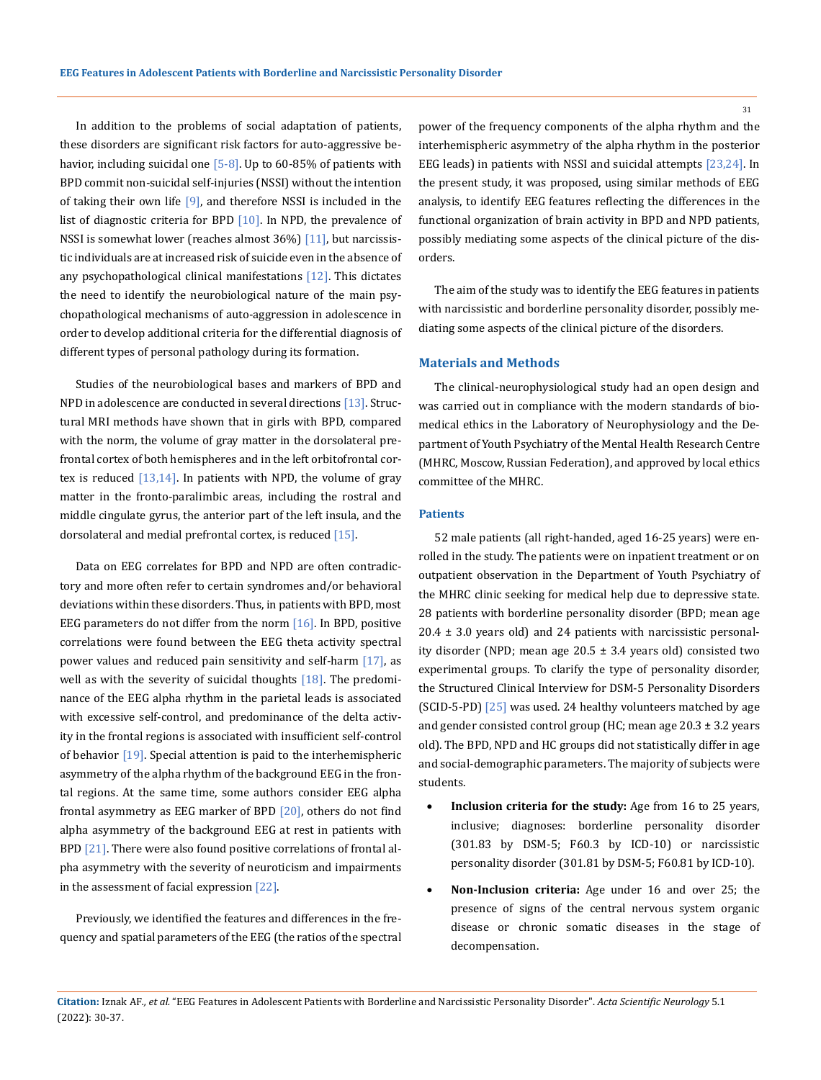In addition to the problems of social adaptation of patients, these disorders are significant risk factors for auto-aggressive behavior, including suicidal one  $[5-8]$ . Up to 60-85% of patients with BPD commit non-suicidal self-injuries (NSSI) without the intention of taking their own life  $[9]$ , and therefore NSSI is included in the list of diagnostic criteria for BPD [10]. In NPD, the prevalence of NSSI is somewhat lower (reaches almost 36%) [11], but narcissistic individuals are at increased risk of suicide even in the absence of any psychopathological clinical manifestations  $[12]$ . This dictates the need to identify the neurobiological nature of the main psychopathological mechanisms of auto-aggression in adolescence in order to develop additional criteria for the differential diagnosis of different types of personal pathology during its formation.

Studies of the neurobiological bases and markers of BPD and NPD in adolescence are conducted in several directions [13]. Structural MRI methods have shown that in girls with BPD, compared with the norm, the volume of gray matter in the dorsolateral prefrontal cortex of both hemispheres and in the left orbitofrontal cortex is reduced  $[13,14]$ . In patients with NPD, the volume of gray matter in the fronto-paralimbic areas, including the rostral and middle cingulate gyrus, the anterior part of the left insula, and the dorsolateral and medial prefrontal cortex, is reduced [15].

Data on EEG correlates for BPD and NPD are often contradictory and more often refer to certain syndromes and/or behavioral deviations within these disorders. Thus, in patients with BPD, most EEG parameters do not differ from the norm  $[16]$ . In BPD, positive correlations were found between the EEG theta activity spectral power values and reduced pain sensitivity and self-harm [17], as well as with the severity of suicidal thoughts  $[18]$ . The predominance of the EEG alpha rhythm in the parietal leads is associated with excessive self-control, and predominance of the delta activity in the frontal regions is associated with insufficient self-control of behavior  $[19]$ . Special attention is paid to the interhemispheric asymmetry of the alpha rhythm of the background EEG in the frontal regions. At the same time, some authors consider EEG alpha frontal asymmetry as EEG marker of BPD [20], others do not find alpha asymmetry of the background EEG at rest in patients with BPD  $[21]$ . There were also found positive correlations of frontal alpha asymmetry with the severity of neuroticism and impairments in the assessment of facial expression [22].

Previously, we identified the features and differences in the frequency and spatial parameters of the EEG (the ratios of the spectral power of the frequency components of the alpha rhythm and the interhemispheric asymmetry of the alpha rhythm in the posterior EEG leads) in patients with NSSI and suicidal attempts [23,24]. In the present study, it was proposed, using similar methods of EEG analysis, to identify EEG features reflecting the differences in the functional organization of brain activity in BPD and NPD patients, possibly mediating some aspects of the clinical picture of the disorders.

The aim of the study was to identify the EEG features in patients with narcissistic and borderline personality disorder, possibly mediating some aspects of the clinical picture of the disorders.

#### **Materials and Methods**

The clinical-neurophysiological study had an open design and was carried out in compliance with the modern standards of biomedical ethics in the Laboratory of Neurophysiology and the Department of Youth Psychiatry of the Mental Health Research Centre (MHRC, Moscow, Russian Federation), and approved by local ethics committee of the MHRC.

#### **Patients**

52 male patients (all right-handed, aged 16-25 years) were enrolled in the study. The patients were on inpatient treatment or on outpatient observation in the Department of Youth Psychiatry of the MHRC clinic seeking for medical help due to depressive state. 28 patients with borderline personality disorder (BPD; mean age  $20.4 \pm 3.0$  years old) and 24 patients with narcissistic personality disorder (NPD; mean age  $20.5 \pm 3.4$  years old) consisted two experimental groups. To clarify the type of personality disorder, the Structured Clinical Interview for DSM-5 Personality Disorders (SCID-5-PD) [25] was used. 24 healthy volunteers matched by age and gender consisted control group (HC; mean age 20.3 ± 3.2 years old). The BPD, NPD and HC groups did not statistically differ in age and social-demographic parameters. The majority of subjects were students.

- **Inclusion criteria for the study:** Age from 16 to 25 years, inclusive; diagnoses: borderline personality disorder (301.83 by DSM-5; F60.3 by ICD-10) or narcissistic personality disorder (301.81 by DSM-5; F60.81 by ICD-10).
- • **Non-Inclusion criteria:** Age under 16 and over 25; the presence of signs of the central nervous system organic disease or chronic somatic diseases in the stage of decompensation.

**Citation:** Iznak AF*., et al.* "EEG Features in Adolescent Patients with Borderline and Narcissistic Personality Disorder". *Acta Scientific Neurology* 5.1 (2022): 30-37.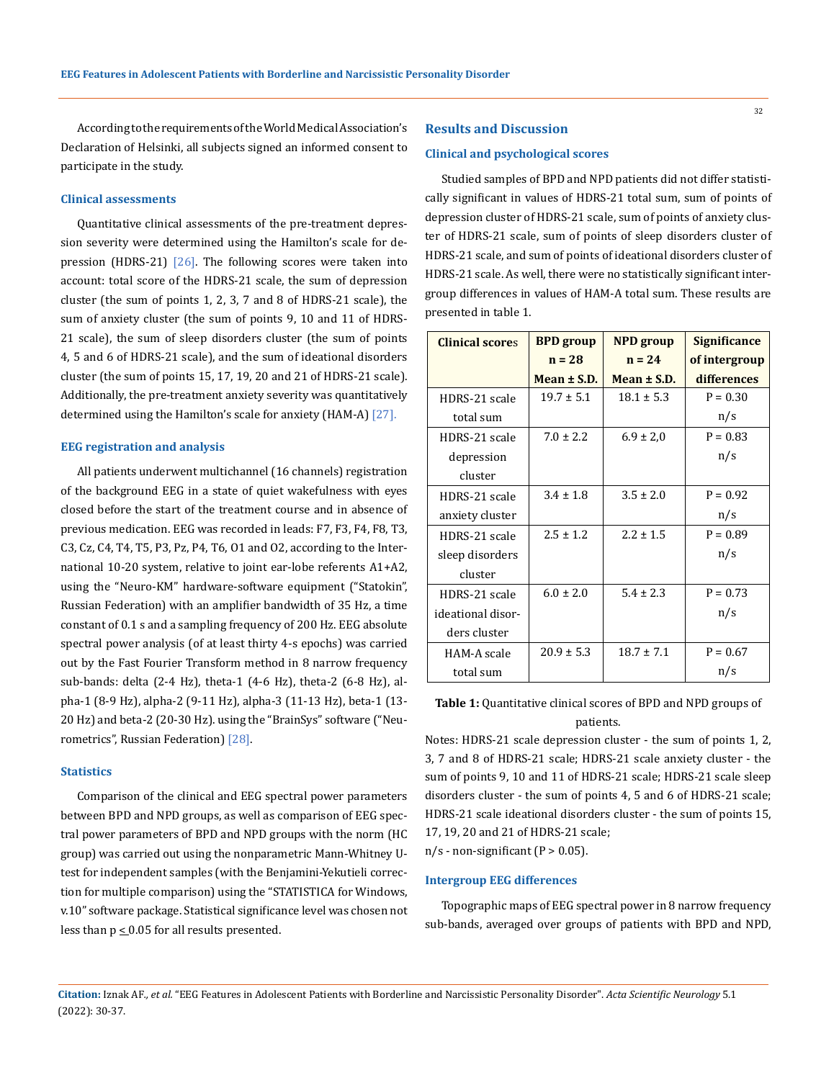According to the requirements of the World Medical Association's Declaration of Helsinki, all subjects signed an informed consent to participate in the study.

#### **Clinical assessments**

Quantitative clinical assessments of the pre-treatment depression severity were determined using the Hamilton's scale for depression (HDRS-21)  $[26]$ . The following scores were taken into account: total score of the HDRS-21 scale, the sum of depression cluster (the sum of points 1, 2, 3, 7 and 8 of HDRS-21 scale), the sum of anxiety cluster (the sum of points 9, 10 and 11 of HDRS-21 scale), the sum of sleep disorders cluster (the sum of points 4, 5 and 6 of HDRS-21 scale), and the sum of ideational disorders cluster (the sum of points 15, 17, 19, 20 and 21 of HDRS-21 scale). Additionally, the pre-treatment anxiety severity was quantitatively determined using the Hamilton's scale for anxiety (HAM-A) [27].

#### **EEG registration and analysis**

All patients underwent multichannel (16 channels) registration of the background EEG in a state of quiet wakefulness with eyes closed before the start of the treatment course and in absence of previous medication. EEG was recorded in leads: F7, F3, F4, F8, T3, C3, Cz, C4, T4, T5, P3, Pz, P4, T6, O1 and O2, according to the International 10-20 system, relative to joint ear-lobe referents A1+A2, using the "Neuro-KM" hardware-software equipment ("Statokin", Russian Federation) with an amplifier bandwidth of 35 Hz, a time constant of 0.1 s and a sampling frequency of 200 Hz. EEG absolute spectral power analysis (of at least thirty 4-s epochs) was carried out by the Fast Fourier Transform method in 8 narrow frequency sub-bands: delta (2-4 Hz), theta-1 (4-6 Hz), theta-2 (6-8 Hz), alpha-1 (8-9 Hz), alpha-2 (9-11 Hz), alpha-3 (11-13 Hz), beta-1 (13- 20 Hz) and beta-2 (20-30 Hz). using the "BrainSys" software ("Neurometrics", Russian Federation) [28].

### **Statistics**

Comparison of the clinical and EEG spectral power parameters between BPD and NPD groups, as well as comparison of EEG spectral power parameters of BPD and NPD groups with the norm (HC group) was carried out using the nonparametric Mann-Whitney Utest for independent samples (with the Benjamini-Yekutieli correction for multiple comparison) using the "STATISTICA for Windows, v.10" software package. Statistical significance level was chosen not less than  $p \le 0.05$  for all results presented.

#### **Results and Discussion**

#### **Clinical and psychological scores**

Studied samples of BPD and NPD patients did not differ statistically significant in values of HDRS-21 total sum, sum of points of depression cluster of HDRS-21 scale, sum of points of anxiety cluster of HDRS-21 scale, sum of points of sleep disorders cluster of HDRS-21 scale, and sum of points of ideational disorders cluster of HDRS-21 scale. As well, there were no statistically significant intergroup differences in values of HAM-A total sum. These results are presented in table 1.

| <b>Clinical scores</b> | <b>BPD</b> group | <b>NPD</b> group | <b>Significance</b> |  |
|------------------------|------------------|------------------|---------------------|--|
|                        | $n = 28$         | $n = 24$         | of intergroup       |  |
|                        | Mean $\pm$ S.D.  | Mean $\pm$ S.D.  | differences         |  |
| HDRS-21 scale          | $19.7 \pm 5.1$   | $18.1 \pm 5.3$   | $P = 0.30$          |  |
| total sum              |                  |                  | n/s                 |  |
| HDRS-21 scale          | $7.0 \pm 2.2$    | $6.9 \pm 2.0$    | $P = 0.83$          |  |
| depression             |                  |                  | n/s                 |  |
| cluster                |                  |                  |                     |  |
| HDRS-21 scale          | $3.4 \pm 1.8$    | $3.5 \pm 2.0$    | $P = 0.92$          |  |
| anxiety cluster        |                  |                  | n/s                 |  |
| HDRS-21 scale          | $2.5 \pm 1.2$    | $2.2 \pm 1.5$    | $P = 0.89$          |  |
| sleep disorders        |                  |                  | n/s                 |  |
| cluster                |                  |                  |                     |  |
| HDRS-21 scale          | $6.0 \pm 2.0$    | $5.4 \pm 2.3$    | $P = 0.73$          |  |
| ideational disor-      |                  |                  | n/s                 |  |
| ders cluster           |                  |                  |                     |  |
| HAM-A scale            | $20.9 \pm 5.3$   | $18.7 \pm 7.1$   | $P = 0.67$          |  |
| total sum              |                  |                  | n/s                 |  |

**Table 1:** Quantitative clinical scores of BPD and NPD groups of patients.

Notes: HDRS-21 scale depression cluster - the sum of points 1, 2, 3, 7 and 8 of HDRS-21 scale; HDRS-21 scale anxiety cluster - the sum of points 9, 10 and 11 of HDRS-21 scale; HDRS-21 scale sleep disorders cluster - the sum of points 4, 5 and 6 of HDRS-21 scale; HDRS-21 scale ideational disorders cluster - the sum of points 15, 17, 19, 20 and 21 of HDRS-21 scale;

 $n/s$  - non-significant (P > 0.05).

#### **Intergroup EEG differences**

Topographic maps of EEG spectral power in 8 narrow frequency sub-bands, averaged over groups of patients with BPD and NPD,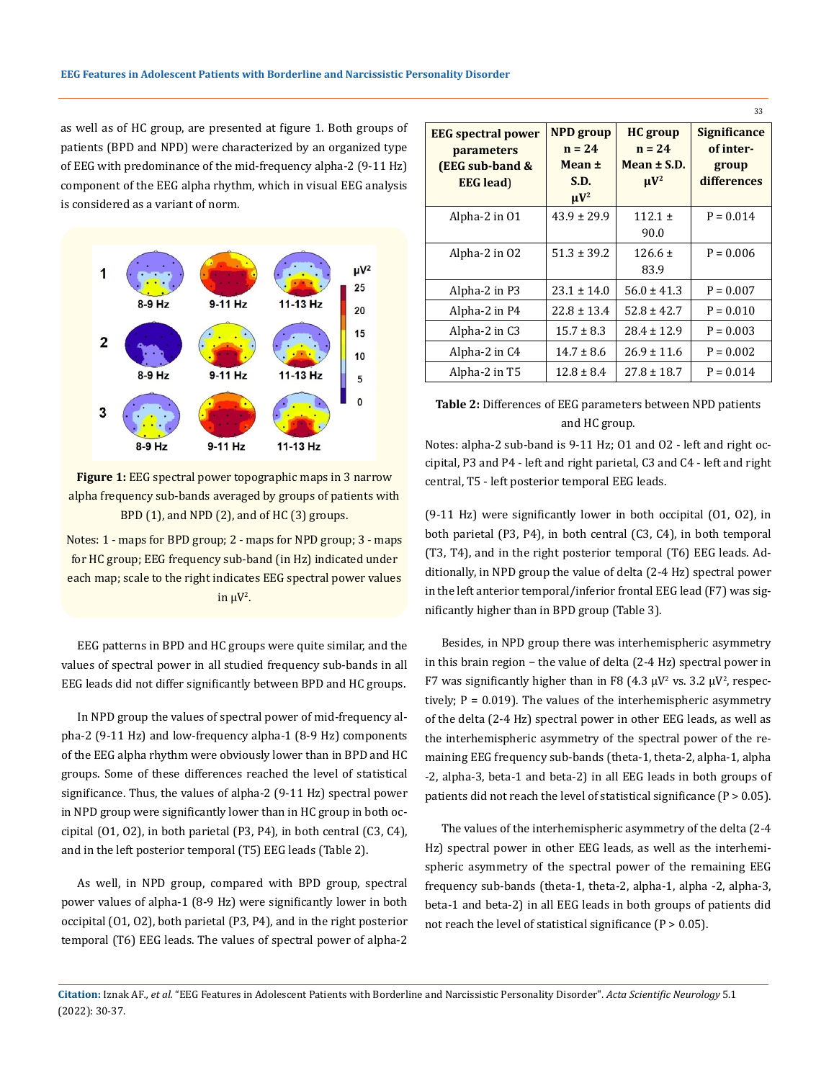as well as of HC group, are presented at figure 1. Both groups of patients (BPD and NPD) were characterized by an organized type of EEG with predominance of the mid-frequency alpha-2 (9-11 Hz) component of the EEG alpha rhythm, which in visual EEG analysis is considered as a variant of norm.



**Figure 1:** EEG spectral power topographic maps in 3 narrow alpha frequency sub-bands averaged by groups of patients with BPD (1), and NPD (2), and of HC (3) groups.

Notes: 1 - maps for BPD group; 2 - maps for NPD group; 3 - maps for HC group; EEG frequency sub-band (in Hz) indicated under each map; scale to the right indicates EEG spectral power values in  $\mu V^2$ .

EEG patterns in BPD and HC groups were quite similar, and the values of spectral power in all studied frequency sub-bands in all EEG leads did not differ significantly between BPD and HC groups.

In NPD group the values of spectral power of mid-frequency alpha-2 (9-11 Hz) and low-frequency alpha-1 (8-9 Hz) components of the EEG alpha rhythm were obviously lower than in BPD and HC groups. Some of these differences reached the level of statistical significance. Thus, the values of alpha-2 (9-11 Hz) spectral power in NPD group were significantly lower than in HC group in both occipital (O1, O2), in both parietal (P3, P4), in both central (C3, C4), and in the left posterior temporal (T5) EEG leads (Table 2).

As well, in NPD group, compared with BPD group, spectral power values of alpha-1 (8-9 Hz) were significantly lower in both occipital (O1, O2), both parietal (P3, P4), and in the right posterior temporal (T6) EEG leads. The values of spectral power of alpha-2

|                                                                                                 |                                                             |                                                                             | 33                                                       |
|-------------------------------------------------------------------------------------------------|-------------------------------------------------------------|-----------------------------------------------------------------------------|----------------------------------------------------------|
| <b>EEG</b> spectral power<br><i>parameters</i><br><b>(EEG sub-band &amp;</b><br><b>EEG</b> lead | <b>NPD</b> group<br>$n = 24$<br>Mean ±<br>S.D.<br>$\mu V^2$ | <b>HC</b> group<br>$n = 24$<br>Mean $\pm$ S.D.<br>$\mathbf{u} \mathbf{V}^2$ | <b>Significance</b><br>of inter-<br>group<br>differences |
| Alpha-2 in 01                                                                                   | $43.9 \pm 29.9$                                             | $112.1 \pm$<br>90.0                                                         | $P = 0.014$                                              |
| Alpha-2 in 02                                                                                   | $51.3 \pm 39.2$                                             | $126.6 \pm$<br>83.9                                                         | $P = 0.006$                                              |
| Alpha-2 in P3                                                                                   | $23.1 \pm 14.0$                                             | $56.0 \pm 41.3$                                                             | $P = 0.007$                                              |
| Alpha-2 in P4                                                                                   | $22.8 \pm 13.4$                                             | $52.8 \pm 42.7$                                                             | $P = 0.010$                                              |
| Alpha-2 in C3                                                                                   | $15.7 \pm 8.3$                                              | $28.4 \pm 12.9$                                                             | $P = 0.003$                                              |
| Alpha-2 in C4                                                                                   | $14.7 \pm 8.6$                                              | $26.9 \pm 11.6$                                                             | $P = 0.002$                                              |
| Alpha-2 in T5                                                                                   | $12.8 \pm 8.4$                                              | $27.8 \pm 18.7$                                                             | $P = 0.014$                                              |

## **Table 2:** Differences of EEG parameters between NPD patients and HC group.

Notes: alpha-2 sub-band is 9-11 Hz; O1 and O2 - left and right occipital, P3 and P4 - left and right parietal, C3 and C4 - left and right central, T5 - left posterior temporal EEG leads.

(9-11 Hz) were significantly lower in both occipital (O1, O2), in both parietal (P3, P4), in both central (C3, C4), in both temporal (T3, T4), and in the right posterior temporal (T6) EEG leads. Additionally, in NPD group the value of delta (2-4 Hz) spectral power in the left anterior temporal/inferior frontal EEG lead (F7) was significantly higher than in BPD group (Table 3).

Besides, in NPD group there was interhemispheric asymmetry in this brain region − the value of delta (2-4 Hz) spectral power in F7 was significantly higher than in F8 (4.3  $\mu$ V<sup>2</sup> vs. 3.2  $\mu$ V<sup>2</sup>, respectively;  $P = 0.019$ ). The values of the interhemispheric asymmetry of the delta (2-4 Hz) spectral power in other EEG leads, as well as the interhemispheric asymmetry of the spectral power of the remaining EEG frequency sub-bands (theta-1, theta-2, alpha-1, alpha -2, alpha-3, beta-1 and beta-2) in all EEG leads in both groups of patients did not reach the level of statistical significance (P > 0.05).

The values of the interhemispheric asymmetry of the delta (2-4 Hz) spectral power in other EEG leads, as well as the interhemispheric asymmetry of the spectral power of the remaining EEG frequency sub-bands (theta-1, theta-2, alpha-1, alpha -2, alpha-3, beta-1 and beta-2) in all EEG leads in both groups of patients did not reach the level of statistical significance  $(P > 0.05)$ .

**Citation:** Iznak AF*., et al.* "EEG Features in Adolescent Patients with Borderline and Narcissistic Personality Disorder". *Acta Scientific Neurology* 5.1 (2022): 30-37.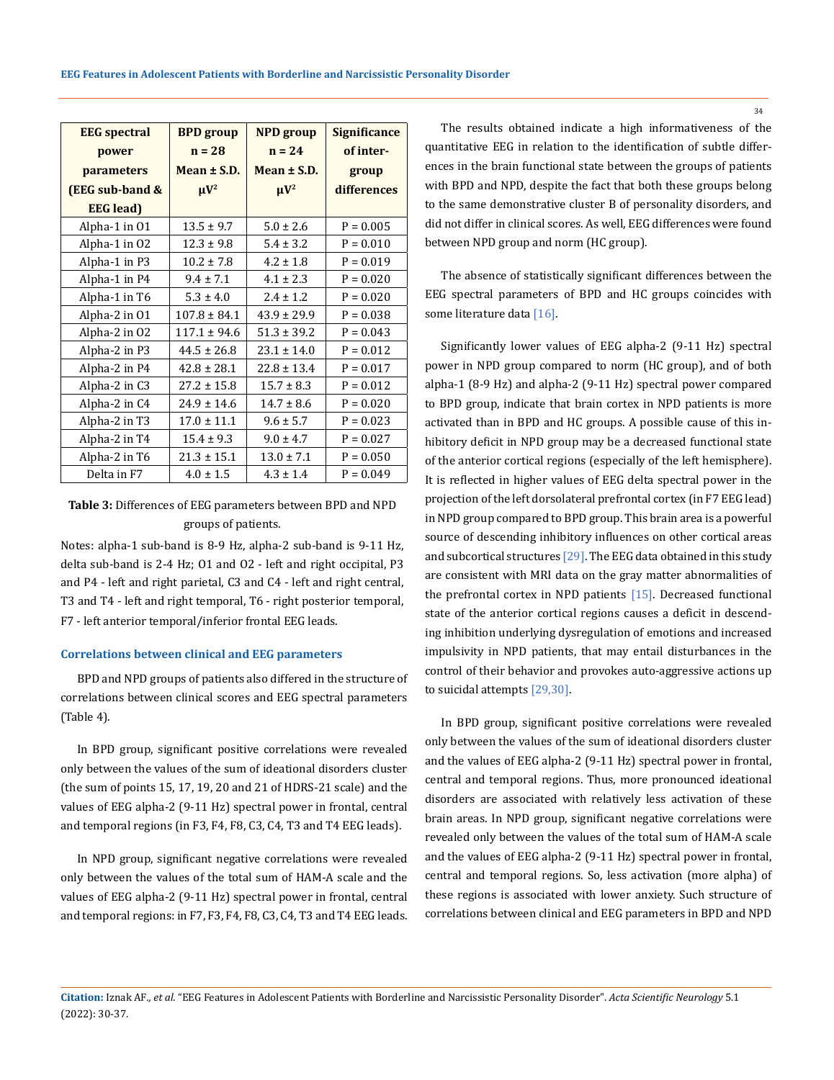| <b>EEG</b> spectral        | <b>BPD</b> group | <b>NPD</b> group | <b>Significance</b> |  |
|----------------------------|------------------|------------------|---------------------|--|
| power                      | $n = 28$         | $n = 24$         | of inter-           |  |
| parameters                 | Mean $\pm$ S.D.  | Mean $\pm$ S.D.  | group               |  |
| <b>(EEG sub-band &amp;</b> | $\mu V^2$        | $\mu V^2$        | differences         |  |
| <b>EEG</b> lead)           |                  |                  |                     |  |
| Alpha-1 in 01              | $13.5 \pm 9.7$   | $5.0 \pm 2.6$    | $P = 0.005$         |  |
| Alpha-1 in 02              | $12.3 \pm 9.8$   | $5.4 \pm 3.2$    | $P = 0.010$         |  |
| Alpha-1 in P3              | $10.2 \pm 7.8$   | $4.2 \pm 1.8$    | $P = 0.019$         |  |
| Alpha-1 in P4              | $9.4 \pm 7.1$    | $4.1 \pm 2.3$    | $P = 0.020$         |  |
| Alpha-1 in T6              | $5.3 \pm 4.0$    | $2.4 \pm 1.2$    | $P = 0.020$         |  |
| Alpha-2 in 01              | $107.8 \pm 84.1$ | $43.9 \pm 29.9$  | $P = 0.038$         |  |
| Alpha-2 in 02              | $117.1 \pm 94.6$ | $51.3 \pm 39.2$  | $P = 0.043$         |  |
| Alpha-2 in P3              | $44.5 \pm 26.8$  | $23.1 \pm 14.0$  | $P = 0.012$         |  |
| Alpha-2 in P4              | $42.8 \pm 28.1$  | $22.8 \pm 13.4$  | $P = 0.017$         |  |
| Alpha-2 in C3              | $27.2 \pm 15.8$  | $15.7 \pm 8.3$   | $P = 0.012$         |  |
| Alpha-2 in C4              | $24.9 \pm 14.6$  | $14.7 \pm 8.6$   | $P = 0.020$         |  |
| Alpha-2 in T3              | $17.0 \pm 11.1$  | $9.6 \pm 5.7$    | $P = 0.023$         |  |
| Alpha-2 in T4              | $15.4 \pm 9.3$   | $9.0 \pm 4.7$    | $P = 0.027$         |  |
| Alpha-2 in T6              | $21.3 \pm 15.1$  | $13.0 \pm 7.1$   | $P = 0.050$         |  |
| Delta in F7                | $4.0 \pm 1.5$    | $4.3 \pm 1.4$    | $P = 0.049$         |  |

## **Table 3:** Differences of EEG parameters between BPD and NPD groups of patients.

Notes: alpha-1 sub-band is 8-9 Hz, alpha-2 sub-band is 9-11 Hz, delta sub-band is 2-4 Hz; O1 and O2 - left and right occipital, P3 and P4 - left and right parietal, C3 and C4 - left and right central, T3 and T4 - left and right temporal, T6 - right posterior temporal, F7 - left anterior temporal/inferior frontal EEG leads.

#### **Correlations between clinical and EEG parameters**

BPD and NPD groups of patients also differed in the structure of correlations between clinical scores and EEG spectral parameters (Table 4).

In BPD group, significant positive correlations were revealed only between the values of the sum of ideational disorders cluster (the sum of points 15, 17, 19, 20 and 21 of HDRS-21 scale) and the values of EEG alpha-2 (9-11 Hz) spectral power in frontal, central and temporal regions (in F3, F4, F8, C3, C4, T3 and T4 EEG leads).

In NPD group, significant negative correlations were revealed only between the values of the total sum of HAM-A scale and the values of EEG alpha-2 (9-11 Hz) spectral power in frontal, central and temporal regions: in F7, F3, F4, F8, C3, C4, T3 and T4 EEG leads.

The results obtained indicate a high informativeness of the quantitative EEG in relation to the identification of subtle differences in the brain functional state between the groups of patients with BPD and NPD, despite the fact that both these groups belong to the same demonstrative cluster B of personality disorders, and did not differ in clinical scores. As well, EEG differences were found between NPD group and norm (HC group).

The absence of statistically significant differences between the EEG spectral parameters of BPD and HC groups coincides with some literature data [16].

Significantly lower values of EEG alpha-2 (9-11 Hz) spectral power in NPD group compared to norm (HC group), and of both alpha-1 (8-9 Hz) and alpha-2 (9-11 Hz) spectral power compared to BPD group, indicate that brain cortex in NPD patients is more activated than in BPD and HC groups. A possible cause of this inhibitory deficit in NPD group may be a decreased functional state of the anterior cortical regions (especially of the left hemisphere). It is reflected in higher values of EEG delta spectral power in the projection of the left dorsolateral prefrontal cortex (in F7 EEG lead) in NPD group compared to BPD group. This brain area is a powerful source of descending inhibitory influences on other cortical areas and subcortical structures [29]. The EEG data obtained in this study are consistent with MRI data on the gray matter abnormalities of the prefrontal cortex in NPD patients [15]. Decreased functional state of the anterior cortical regions causes a deficit in descending inhibition underlying dysregulation of emotions and increased impulsivity in NPD patients, that may entail disturbances in the control of their behavior and provokes auto-aggressive actions up to suicidal attempts [29,30].

In BPD group, significant positive correlations were revealed only between the values of the sum of ideational disorders cluster and the values of EEG alpha-2 (9-11 Hz) spectral power in frontal, central and temporal regions. Thus, more pronounced ideational disorders are associated with relatively less activation of these brain areas. In NPD group, significant negative correlations were revealed only between the values of the total sum of HAM-A scale and the values of EEG alpha-2 (9-11 Hz) spectral power in frontal, central and temporal regions. So, less activation (more alpha) of these regions is associated with lower anxiety. Such structure of correlations between clinical and EEG parameters in BPD and NPD

**Citation:** Iznak AF*., et al.* "EEG Features in Adolescent Patients with Borderline and Narcissistic Personality Disorder". *Acta Scientific Neurology* 5.1 (2022): 30-37.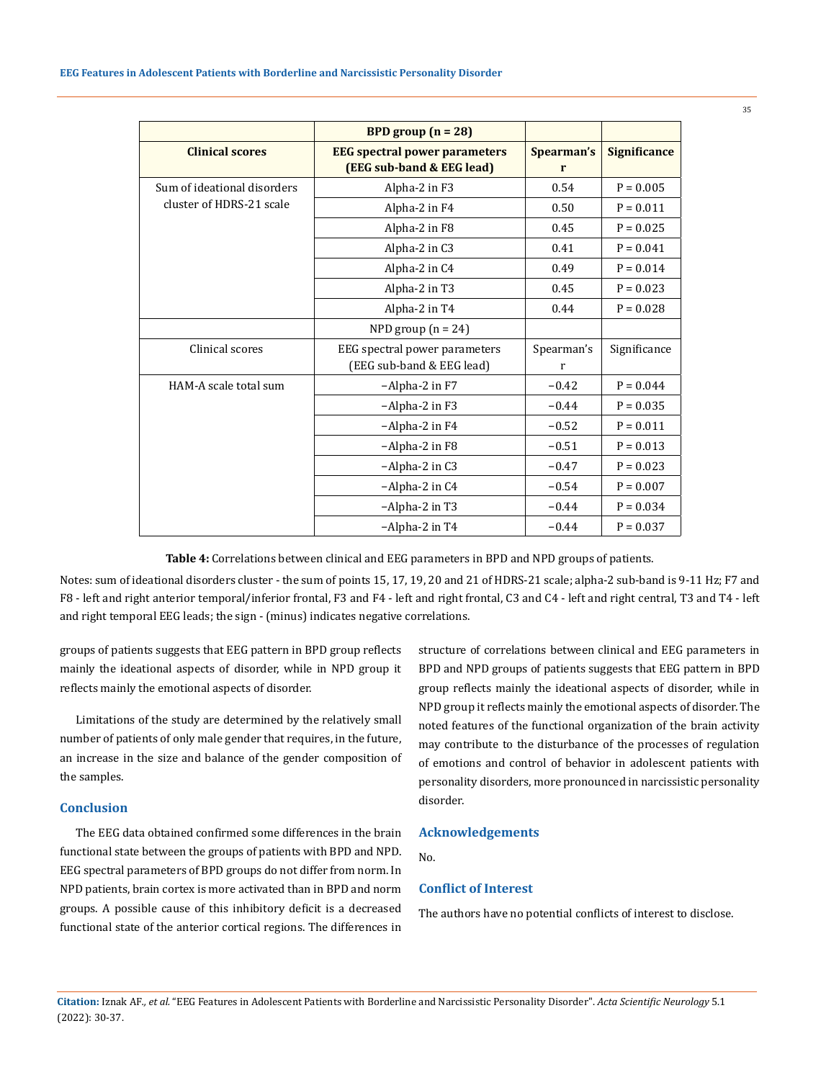|                                                         | BPD group $(n = 28)$                                              |                 |                     |
|---------------------------------------------------------|-------------------------------------------------------------------|-----------------|---------------------|
| <b>Clinical scores</b>                                  | <b>EEG</b> spectral power parameters<br>(EEG sub-band & EEG lead) | Spearman's<br>r | <b>Significance</b> |
| Sum of ideational disorders<br>cluster of HDRS-21 scale | Alpha-2 in F3                                                     | 0.54            | $P = 0.005$         |
|                                                         | Alpha-2 in F4                                                     | 0.50            | $P = 0.011$         |
|                                                         | Alpha-2 in F8                                                     | 0.45            | $P = 0.025$         |
|                                                         | Alpha-2 in C3                                                     | 0.41            | $P = 0.041$         |
|                                                         | Alpha-2 in C4                                                     | 0.49            | $P = 0.014$         |
|                                                         | Alpha-2 in T3<br>0.45                                             |                 | $P = 0.023$         |
|                                                         | Alpha-2 in T4                                                     | 0.44            | $P = 0.028$         |
|                                                         | NPD group $(n = 24)$                                              |                 |                     |
| Clinical scores                                         | EEG spectral power parameters<br>(EEG sub-band & EEG lead)        | Spearman's<br>r | Significance        |
| HAM-A scale total sum                                   | -Alpha-2 in F7                                                    | $-0.42$         | $P = 0.044$         |
|                                                         | -Alpha-2 in F3                                                    | $-0.44$         | $P = 0.035$         |
|                                                         | $-A$ lpha $-2$ in $F4$                                            | $-0.52$         | $P = 0.011$         |
|                                                         | -Alpha-2 in F8                                                    | $-0.51$         | $P = 0.013$         |
|                                                         | $-A$ lpha $-2$ in C3                                              | $-0.47$         | $P = 0.023$         |
|                                                         | -Alpha-2 in C4                                                    | $-0.54$         | $P = 0.007$         |
|                                                         | -Alpha-2 in T3                                                    | $-0.44$         | $P = 0.034$         |
|                                                         | $-A$ lpha $-2$ in T4                                              | $-0.44$         | $P = 0.037$         |

**Table 4:** Correlations between clinical and EEG parameters in BPD and NPD groups of patients.

Notes: sum of ideational disorders cluster - the sum of points 15, 17, 19, 20 and 21 of HDRS-21 scale; alpha-2 sub-band is 9-11 Hz; F7 and F8 - left and right anterior temporal/inferior frontal, F3 and F4 - left and right frontal, C3 and C4 - left and right central, T3 and T4 - left and right temporal EEG leads; the sign - (minus) indicates negative correlations.

groups of patients suggests that EEG pattern in BPD group reflects mainly the ideational aspects of disorder, while in NPD group it reflects mainly the emotional aspects of disorder.

Limitations of the study are determined by the relatively small number of patients of only male gender that requires, in the future, an increase in the size and balance of the gender composition of the samples.

## **Conclusion**

The EEG data obtained confirmed some differences in the brain functional state between the groups of patients with BPD and NPD. EEG spectral parameters of BPD groups do not differ from norm. In NPD patients, brain cortex is more activated than in BPD and norm groups. A possible cause of this inhibitory deficit is a decreased functional state of the anterior cortical regions. The differences in structure of correlations between clinical and EEG parameters in BPD and NPD groups of patients suggests that EEG pattern in BPD group reflects mainly the ideational aspects of disorder, while in NPD group it reflects mainly the emotional aspects of disorder. The noted features of the functional organization of the brain activity may contribute to the disturbance of the processes of regulation of emotions and control of behavior in adolescent patients with personality disorders, more pronounced in narcissistic personality disorder.

### **Acknowledgements**

No.

#### **Conflict of Interest**

The authors have no potential conflicts of interest to disclose.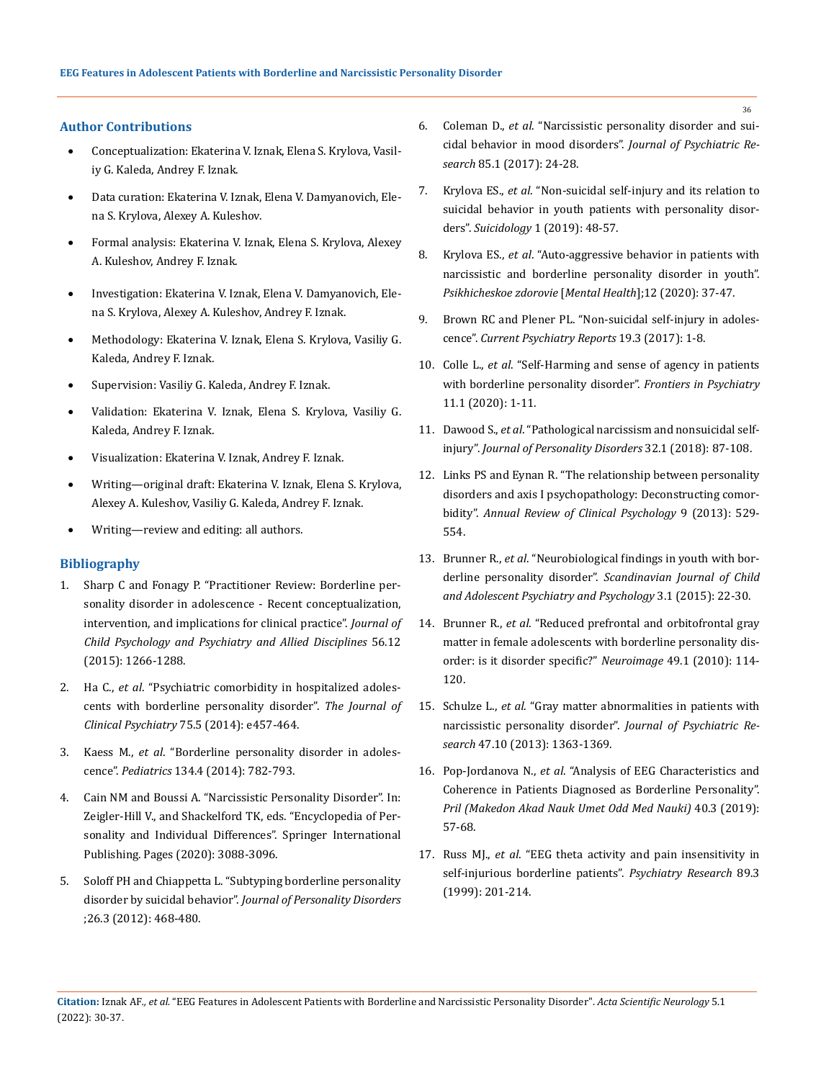## **Author Contributions**

- Conceptualization: Ekaterina V. Iznak, Elena S. Krylova, Vasiliy G. Kaleda, Andrey F. Iznak.
- Data curation: Ekaterina V. Iznak, Elena V. Damyanovich, Elena S. Krylova, Alexey A. Kuleshov.
- Formal analysis: Ekaterina V. Iznak, Elena S. Krylova, Alexey A. Kuleshov, Andrey F. Iznak.
- Investigation: Ekaterina V. Iznak, Elena V. Damyanovich, Elena S. Krylova, Alexey A. Kuleshov, Andrey F. Iznak.
- Methodology: Ekaterina V. Iznak, Elena S. Krylova, Vasiliy G. Kaleda, Andrey F. Iznak.
- Supervision: Vasiliy G. Kaleda, Andrey F. Iznak.
- Validation: Ekaterina V. Iznak, Elena S. Krylova, Vasiliy G. Kaleda, Andrey F. Iznak.
- Visualization: Ekaterina V. Iznak, Andrey F. Iznak.
- Writing—original draft: Ekaterina V. Iznak, Elena S. Krylova, Alexey A. Kuleshov, Vasiliy G. Kaleda, Andrey F. Iznak.
- Writing—review and editing: all authors.

#### **Bibliography**

- 1. [Sharp C and Fonagy P. "Practitioner Review: Borderline per](https://acamh.onlinelibrary.wiley.com/doi/10.1111/jcpp.12449)[sonality disorder in adolescence - Recent conceptualization,](https://acamh.onlinelibrary.wiley.com/doi/10.1111/jcpp.12449) [intervention, and implications for clinical practice".](https://acamh.onlinelibrary.wiley.com/doi/10.1111/jcpp.12449) *Journal of [Child Psychology and Psychiatry and Allied Disciplines](https://acamh.onlinelibrary.wiley.com/doi/10.1111/jcpp.12449)* 56.12 [\(2015\): 1266-1288.](https://acamh.onlinelibrary.wiley.com/doi/10.1111/jcpp.12449)
- 2. Ha C., *et al*[. "Psychiatric comorbidity in hospitalized adoles](https://doi.org/10.4088/JCP.13m08696)[cents with borderline personality](https://doi.org/10.4088/JCP.13m08696) disorder". *The Journal of [Clinical Psychiatry](https://doi.org/10.4088/JCP.13m08696)* 75.5 (2014): e457-464.
- 3. Kaess M., *et al*[. "Borderline personality disorder in adoles](https://doi.org/10.1542/peds.2013.3677)cence". *Pediatrics* [134.4 \(2014\): 782-793.](https://doi.org/10.1542/peds.2013.3677)
- 4. [Cain NM and Boussi A. "Narcissistic Personality Disorder". In:](https://doi.org/10.1007/978-3-319-24612-3_604) [Zeigler-Hill V., and Shackelford TK, eds. "Encyclopedia of Per](https://doi.org/10.1007/978-3-319-24612-3_604)[sonality and Individual Differences". Springer International](https://doi.org/10.1007/978-3-319-24612-3_604) [Publishing. Pages \(2020\): 3088-3096.](https://doi.org/10.1007/978-3-319-24612-3_604)
- 5. [Soloff PH and Chiappetta L. "Subtyping borderline personality](https://doi.org/10.1521/pedi.2012.26.3.468) disorder by suicidal behavior". *[Journal of Personality Disorders](https://doi.org/10.1521/pedi.2012.26.3.468)*  [;26.3 \(2012\): 468-480.](https://doi.org/10.1521/pedi.2012.26.3.468)
- 6. Coleman D., *et al*[. "Narcissistic personality disorder and sui](https://doi.org/10.1016/j.jpsychires.2016.10.020)[cidal behavior in mood disorders".](https://doi.org/10.1016/j.jpsychires.2016.10.020) *Journal of Psychiatric Research* [85.1 \(2017\): 24-28.](https://doi.org/10.1016/j.jpsychires.2016.10.020)
- 7. Krylova ES., *et al*[. "Non-suicidal self-injury and its relation to](https://doi.org/10.32878/suiciderus.19-10-01(34)-48-57)  [suicidal behavior in youth patients with personality disor](https://doi.org/10.32878/suiciderus.19-10-01(34)-48-57)ders". *Suicidology* [1 \(2019\): 48-57.](https://doi.org/10.32878/suiciderus.19-10-01(34)-48-57)
- 8. Krylova ES., *et al*[. "Auto-aggressive behavior in patients with](https://doi.org/10.25557/2074-014X.2020.12.37-47)  [narcissistic and borderline personality disorder in youth".](https://doi.org/10.25557/2074-014X.2020.12.37-47)  *[Psikhicheskoe zdorovie](https://doi.org/10.25557/2074-014X.2020.12.37-47)* [*Mental Health*];12 (2020): 37-47.
- 9. [Brown RC and Plener PL. "Non-suicidal self-injury in adoles](https://doi.org/10.1007/s11920-017-0767-9)cence". *[Current Psychiatry Reports](https://doi.org/10.1007/s11920-017-0767-9)* 19.3 (2017): 1-8.
- 10. Colle L., *et al*[. "Self-Harming and sense of agency in patients](https://doi.org/10.3389/fpsyt.2020.00449)  [with borderline personality disorder".](https://doi.org/10.3389/fpsyt.2020.00449) *Frontiers in Psychiatry*  [11.1 \(2020\): 1-11.](https://doi.org/10.3389/fpsyt.2020.00449)
- 11. Dawood S., *et al*[. "Pathological narcissism and nonsuicidal self](https://doi.org/10.1521/pedi_2017_31_291)injury". *[Journal of Personality Disorders](https://doi.org/10.1521/pedi_2017_31_291)* 32.1 (2018): 87-108.
- 12. [Links PS and Eynan R. "The relationship between personality](https://doi.org/10.1146/annurevclinpsy-050212-185624)  [disorders and axis I psychopathology: Deconstructing comor](https://doi.org/10.1146/annurevclinpsy-050212-185624)bidity". *[Annual Review of Clinical Psychology](https://doi.org/10.1146/annurevclinpsy-050212-185624)* 9 (2013): 529- [554.](https://doi.org/10.1146/annurevclinpsy-050212-185624)
- 13. Brunner R., *et al*[. "Neurobiological findings in youth with bor](https://doi.org/10.21307/sjcapp-2015-003)derline personality disorder". *[Scandinavian Journal of Child](https://doi.org/10.21307/sjcapp-2015-003)  [and Adolescent Psychiatry and Psychology](https://doi.org/10.21307/sjcapp-2015-003)* 3.1 (2015): 22-30.
- 14. Brunner R., *et al*[. "Reduced prefrontal and orbitofrontal gray](https://doi.org/10.1016/j.neuroimage.2009.07.070)  [matter in female adolescents with borderline personality dis](https://doi.org/10.1016/j.neuroimage.2009.07.070)[order: is it disorder specific?"](https://doi.org/10.1016/j.neuroimage.2009.07.070) *Neuroimage* 49.1 (2010): 114- [120.](https://doi.org/10.1016/j.neuroimage.2009.07.070)
- 15. Schulze L., *et al*[. "Gray matter abnormalities in patients with](http://dx.doi.org/10.1016/j.jpsychires.2013.05.017)  [narcissistic personality disorder".](http://dx.doi.org/10.1016/j.jpsychires.2013.05.017) *Journal of Psychiatric Research* [47.10 \(2013\): 1363-1369.](http://dx.doi.org/10.1016/j.jpsychires.2013.05.017)
- 16. Pop-Jordanova N., *et al*[. "Analysis of EEG Characteristics and](https://doi.org/10.2478/prilozi-2020-0005)  [Coherence in Patients Diagnosed as Borderline Personality".](https://doi.org/10.2478/prilozi-2020-0005)  *[Pril \(Makedon Akad Nauk Umet Odd Med Nauki\)](https://doi.org/10.2478/prilozi-2020-0005)* 40.3 (2019): [57-68.](https://doi.org/10.2478/prilozi-2020-0005)
- 17. Russ MJ., *et al*[. "EEG theta activity and pain insensitivity in](https://doi.org/10.1177/1550059417692083)  [self-injurious borderline patients".](https://doi.org/10.1177/1550059417692083) *Psychiatry Research* 89.3 [\(1999\): 201-214.](https://doi.org/10.1177/1550059417692083)

**Citation:** Iznak AF*., et al.* "EEG Features in Adolescent Patients with Borderline and Narcissistic Personality Disorder". *Acta Scientific Neurology* 5.1 (2022): 30-37.